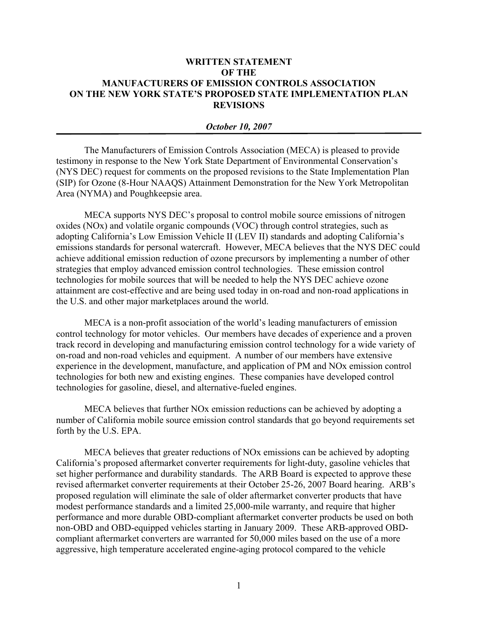## **WRITTEN STATEMENT OF THE MANUFACTURERS OF EMISSION CONTROLS ASSOCIATION ON THE NEW YORK STATE'S PROPOSED STATE IMPLEMENTATION PLAN REVISIONS**

## *October 10, 2007*

The Manufacturers of Emission Controls Association (MECA) is pleased to provide testimony in response to the New York State Department of Environmental Conservation's (NYS DEC) request for comments on the proposed revisions to the State Implementation Plan (SIP) for Ozone (8-Hour NAAQS) Attainment Demonstration for the New York Metropolitan Area (NYMA) and Poughkeepsie area.

MECA supports NYS DEC's proposal to control mobile source emissions of nitrogen oxides (NOx) and volatile organic compounds (VOC) through control strategies, such as adopting California's Low Emission Vehicle II (LEV II) standards and adopting California's emissions standards for personal watercraft. However, MECA believes that the NYS DEC could achieve additional emission reduction of ozone precursors by implementing a number of other strategies that employ advanced emission control technologies. These emission control technologies for mobile sources that will be needed to help the NYS DEC achieve ozone attainment are cost-effective and are being used today in on-road and non-road applications in the U.S. and other major marketplaces around the world.

MECA is a non-profit association of the world's leading manufacturers of emission control technology for motor vehicles. Our members have decades of experience and a proven track record in developing and manufacturing emission control technology for a wide variety of on-road and non-road vehicles and equipment. A number of our members have extensive experience in the development, manufacture, and application of PM and NOx emission control technologies for both new and existing engines. These companies have developed control technologies for gasoline, diesel, and alternative-fueled engines.

MECA believes that further NOx emission reductions can be achieved by adopting a number of California mobile source emission control standards that go beyond requirements set forth by the U.S. EPA.

MECA believes that greater reductions of NOx emissions can be achieved by adopting California's proposed aftermarket converter requirements for light-duty, gasoline vehicles that set higher performance and durability standards. The ARB Board is expected to approve these revised aftermarket converter requirements at their October 25-26, 2007 Board hearing. ARB's proposed regulation will eliminate the sale of older aftermarket converter products that have modest performance standards and a limited 25,000-mile warranty, and require that higher performance and more durable OBD-compliant aftermarket converter products be used on both non-OBD and OBD-equipped vehicles starting in January 2009. These ARB-approved OBDcompliant aftermarket converters are warranted for 50,000 miles based on the use of a more aggressive, high temperature accelerated engine-aging protocol compared to the vehicle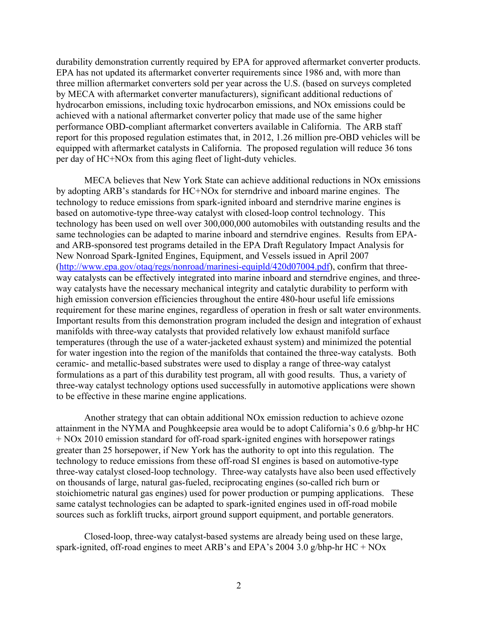durability demonstration currently required by EPA for approved aftermarket converter products. EPA has not updated its aftermarket converter requirements since 1986 and, with more than three million aftermarket converters sold per year across the U.S. (based on surveys completed by MECA with aftermarket converter manufacturers), significant additional reductions of hydrocarbon emissions, including toxic hydrocarbon emissions, and NOx emissions could be achieved with a national aftermarket converter policy that made use of the same higher performance OBD-compliant aftermarket converters available in California. The ARB staff report for this proposed regulation estimates that, in 2012, 1.26 million pre-OBD vehicles will be equipped with aftermarket catalysts in California. The proposed regulation will reduce 36 tons per day of HC+NOx from this aging fleet of light-duty vehicles.

MECA believes that New York State can achieve additional reductions in NOx emissions by adopting ARB's standards for HC+NOx for sterndrive and inboard marine engines. The technology to reduce emissions from spark-ignited inboard and sterndrive marine engines is based on automotive-type three-way catalyst with closed-loop control technology. This technology has been used on well over 300,000,000 automobiles with outstanding results and the same technologies can be adapted to marine inboard and sterndrive engines. Results from EPAand ARB-sponsored test programs detailed in the EPA Draft Regulatory Impact Analysis for New Nonroad Spark-Ignited Engines, Equipment, and Vessels issued in April 2007 (http://www.epa.gov/otaq/regs/nonroad/marinesi-equipld/420d07004.pdf), confirm that threeway catalysts can be effectively integrated into marine inboard and sterndrive engines, and threeway catalysts have the necessary mechanical integrity and catalytic durability to perform with high emission conversion efficiencies throughout the entire 480-hour useful life emissions requirement for these marine engines, regardless of operation in fresh or salt water environments. Important results from this demonstration program included the design and integration of exhaust manifolds with three-way catalysts that provided relatively low exhaust manifold surface temperatures (through the use of a water-jacketed exhaust system) and minimized the potential for water ingestion into the region of the manifolds that contained the three-way catalysts. Both ceramic- and metallic-based substrates were used to display a range of three-way catalyst formulations as a part of this durability test program, all with good results. Thus, a variety of three-way catalyst technology options used successfully in automotive applications were shown to be effective in these marine engine applications.

Another strategy that can obtain additional NOx emission reduction to achieve ozone attainment in the NYMA and Poughkeepsie area would be to adopt California's 0.6 g/bhp-hr HC + NOx 2010 emission standard for off-road spark-ignited engines with horsepower ratings greater than 25 horsepower, if New York has the authority to opt into this regulation. The technology to reduce emissions from these off-road SI engines is based on automotive-type three-way catalyst closed-loop technology. Three-way catalysts have also been used effectively on thousands of large, natural gas-fueled, reciprocating engines (so-called rich burn or stoichiometric natural gas engines) used for power production or pumping applications. These same catalyst technologies can be adapted to spark-ignited engines used in off-road mobile sources such as forklift trucks, airport ground support equipment, and portable generators.

Closed-loop, three-way catalyst-based systems are already being used on these large, spark-ignited, off-road engines to meet ARB's and EPA's 2004 3.0 g/bhp-hr HC + NOx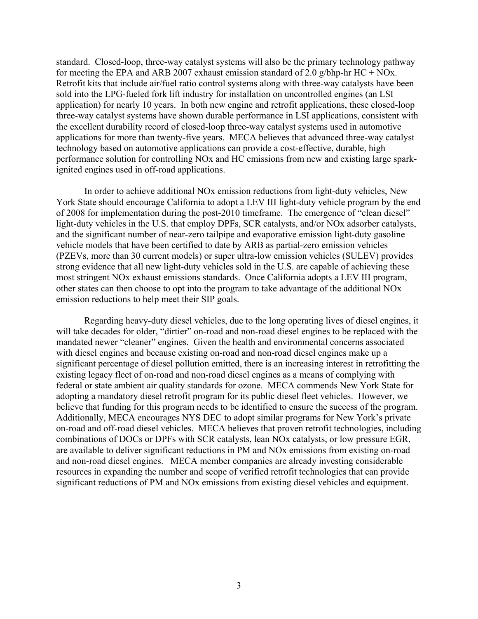standard. Closed-loop, three-way catalyst systems will also be the primary technology pathway for meeting the EPA and ARB 2007 exhaust emission standard of 2.0 g/bhp-hr HC + NOx. Retrofit kits that include air/fuel ratio control systems along with three-way catalysts have been sold into the LPG-fueled fork lift industry for installation on uncontrolled engines (an LSI application) for nearly 10 years. In both new engine and retrofit applications, these closed-loop three-way catalyst systems have shown durable performance in LSI applications, consistent with the excellent durability record of closed-loop three-way catalyst systems used in automotive applications for more than twenty-five years. MECA believes that advanced three-way catalyst technology based on automotive applications can provide a cost-effective, durable, high performance solution for controlling NOx and HC emissions from new and existing large sparkignited engines used in off-road applications.

In order to achieve additional NOx emission reductions from light-duty vehicles, New York State should encourage California to adopt a LEV III light-duty vehicle program by the end of 2008 for implementation during the post-2010 timeframe. The emergence of "clean diesel" light-duty vehicles in the U.S. that employ DPFs, SCR catalysts, and/or NOx adsorber catalysts, and the significant number of near-zero tailpipe and evaporative emission light-duty gasoline vehicle models that have been certified to date by ARB as partial-zero emission vehicles (PZEVs, more than 30 current models) or super ultra-low emission vehicles (SULEV) provides strong evidence that all new light-duty vehicles sold in the U.S. are capable of achieving these most stringent NOx exhaust emissions standards. Once California adopts a LEV III program, other states can then choose to opt into the program to take advantage of the additional NOx emission reductions to help meet their SIP goals.

Regarding heavy-duty diesel vehicles, due to the long operating lives of diesel engines, it will take decades for older, "dirtier" on-road and non-road diesel engines to be replaced with the mandated newer "cleaner" engines. Given the health and environmental concerns associated with diesel engines and because existing on-road and non-road diesel engines make up a significant percentage of diesel pollution emitted, there is an increasing interest in retrofitting the existing legacy fleet of on-road and non-road diesel engines as a means of complying with federal or state ambient air quality standards for ozone. MECA commends New York State for adopting a mandatory diesel retrofit program for its public diesel fleet vehicles. However, we believe that funding for this program needs to be identified to ensure the success of the program. Additionally, MECA encourages NYS DEC to adopt similar programs for New York's private on-road and off-road diesel vehicles. MECA believes that proven retrofit technologies, including combinations of DOCs or DPFs with SCR catalysts, lean NOx catalysts, or low pressure EGR, are available to deliver significant reductions in PM and NOx emissions from existing on-road and non-road diesel engines. MECA member companies are already investing considerable resources in expanding the number and scope of verified retrofit technologies that can provide significant reductions of PM and NOx emissions from existing diesel vehicles and equipment.